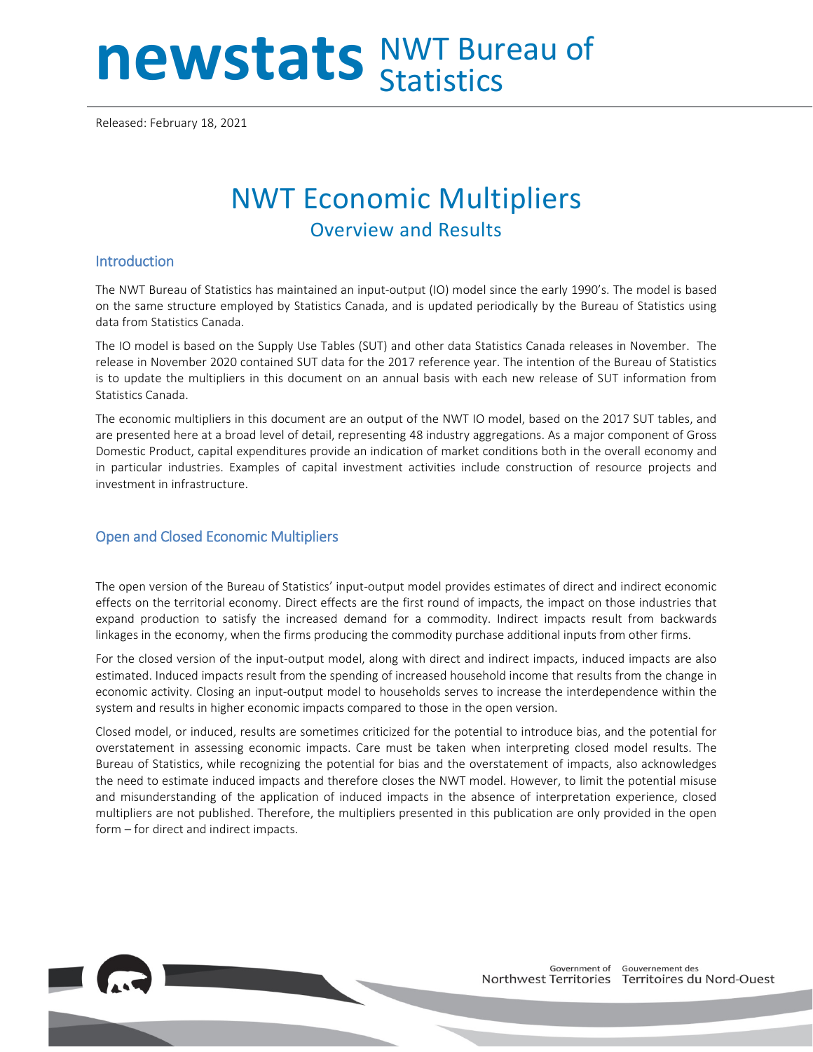# newstats NWT Bureau of

Released: February 18, 2021

# NWT Economic Multipliers Overview and Results

#### **Introduction**

The NWT Bureau of Statistics has maintained an input-output (IO) model since the early 1990's. The model is based on the same structure employed by Statistics Canada, and is updated periodically by the Bureau of Statistics using data from Statistics Canada.

The IO model is based on the Supply Use Tables (SUT) and other data Statistics Canada releases in November. The release in November 2020 contained SUT data for the 2017 reference year. The intention of the Bureau of Statistics is to update the multipliers in this document on an annual basis with each new release of SUT information from Statistics Canada.

The economic multipliers in this document are an output of the NWT IO model, based on the 2017 SUT tables, and are presented here at a broad level of detail, representing 48 industry aggregations. As a major component of Gross Domestic Product, capital expenditures provide an indication of market conditions both in the overall economy and in particular industries. Examples of capital investment activities include construction of resource projects and investment in infrastructure.

#### Open and Closed Economic Multipliers

The open version of the Bureau of Statistics' input-output model provides estimates of direct and indirect economic effects on the territorial economy. Direct effects are the first round of impacts, the impact on those industries that expand production to satisfy the increased demand for a commodity. Indirect impacts result from backwards linkages in the economy, when the firms producing the commodity purchase additional inputs from other firms.

For the closed version of the input-output model, along with direct and indirect impacts, induced impacts are also estimated. Induced impacts result from the spending of increased household income that results from the change in economic activity. Closing an input-output model to households serves to increase the interdependence within the system and results in higher economic impacts compared to those in the open version.

Closed model, or induced, results are sometimes criticized for the potential to introduce bias, and the potential for overstatement in assessing economic impacts. Care must be taken when interpreting closed model results. The Bureau of Statistics, while recognizing the potential for bias and the overstatement of impacts, also acknowledges the need to estimate induced impacts and therefore closes the NWT model. However, to limit the potential misuse and misunderstanding of the application of induced impacts in the absence of interpretation experience, closed multipliers are not published. Therefore, the multipliers presented in this publication are only provided in the open form – for direct and indirect impacts.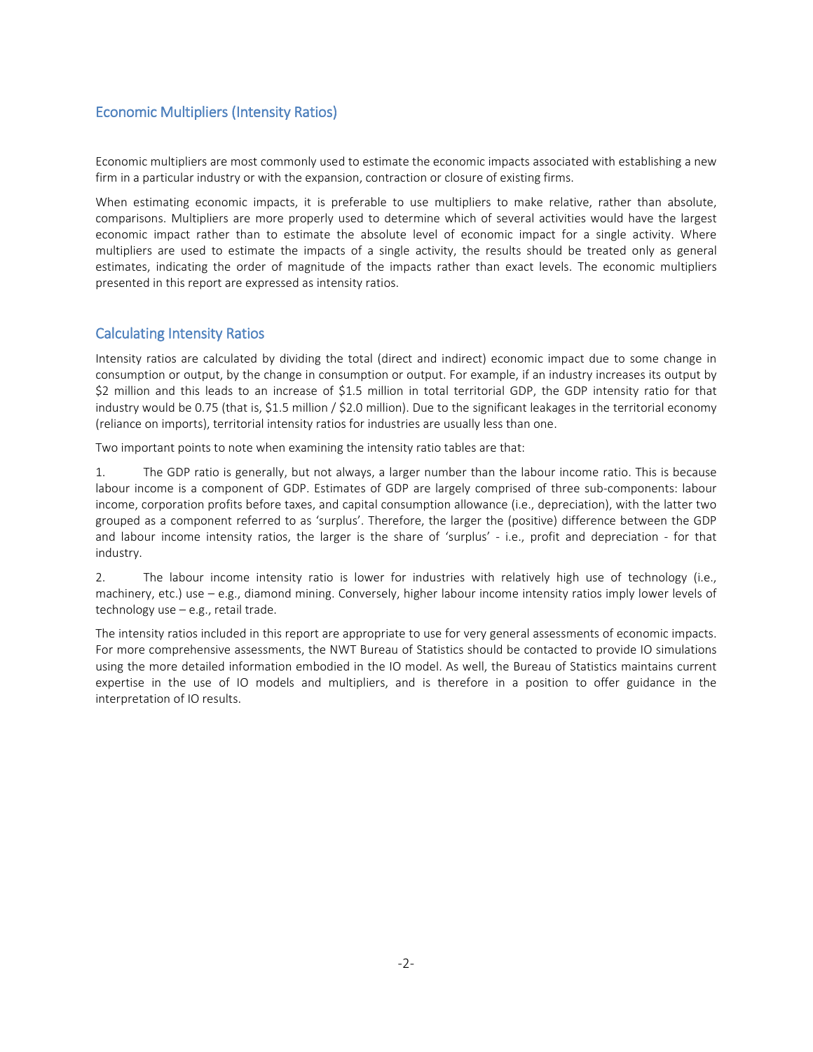#### Economic Multipliers (Intensity Ratios)

Economic multipliers are most commonly used to estimate the economic impacts associated with establishing a new firm in a particular industry or with the expansion, contraction or closure of existing firms.

When estimating economic impacts, it is preferable to use multipliers to make relative, rather than absolute, comparisons. Multipliers are more properly used to determine which of several activities would have the largest economic impact rather than to estimate the absolute level of economic impact for a single activity. Where multipliers are used to estimate the impacts of a single activity, the results should be treated only as general estimates, indicating the order of magnitude of the impacts rather than exact levels. The economic multipliers presented in this report are expressed as intensity ratios.

#### Calculating Intensity Ratios

Intensity ratios are calculated by dividing the total (direct and indirect) economic impact due to some change in consumption or output, by the change in consumption or output. For example, if an industry increases its output by \$2 million and this leads to an increase of \$1.5 million in total territorial GDP, the GDP intensity ratio for that industry would be 0.75 (that is, \$1.5 million / \$2.0 million). Due to the significant leakages in the territorial economy (reliance on imports), territorial intensity ratios for industries are usually less than one.

Two important points to note when examining the intensity ratio tables are that:

1. The GDP ratio is generally, but not always, a larger number than the labour income ratio. This is because labour income is a component of GDP. Estimates of GDP are largely comprised of three sub-components: labour income, corporation profits before taxes, and capital consumption allowance (i.e., depreciation), with the latter two grouped as a component referred to as 'surplus'. Therefore, the larger the (positive) difference between the GDP and labour income intensity ratios, the larger is the share of 'surplus' - i.e., profit and depreciation - for that industry.

2. The labour income intensity ratio is lower for industries with relatively high use of technology (i.e., machinery, etc.) use – e.g., diamond mining. Conversely, higher labour income intensity ratios imply lower levels of technology use – e.g., retail trade.

The intensity ratios included in this report are appropriate to use for very general assessments of economic impacts. For more comprehensive assessments, the NWT Bureau of Statistics should be contacted to provide IO simulations using the more detailed information embodied in the IO model. As well, the Bureau of Statistics maintains current expertise in the use of IO models and multipliers, and is therefore in a position to offer guidance in the interpretation of IO results.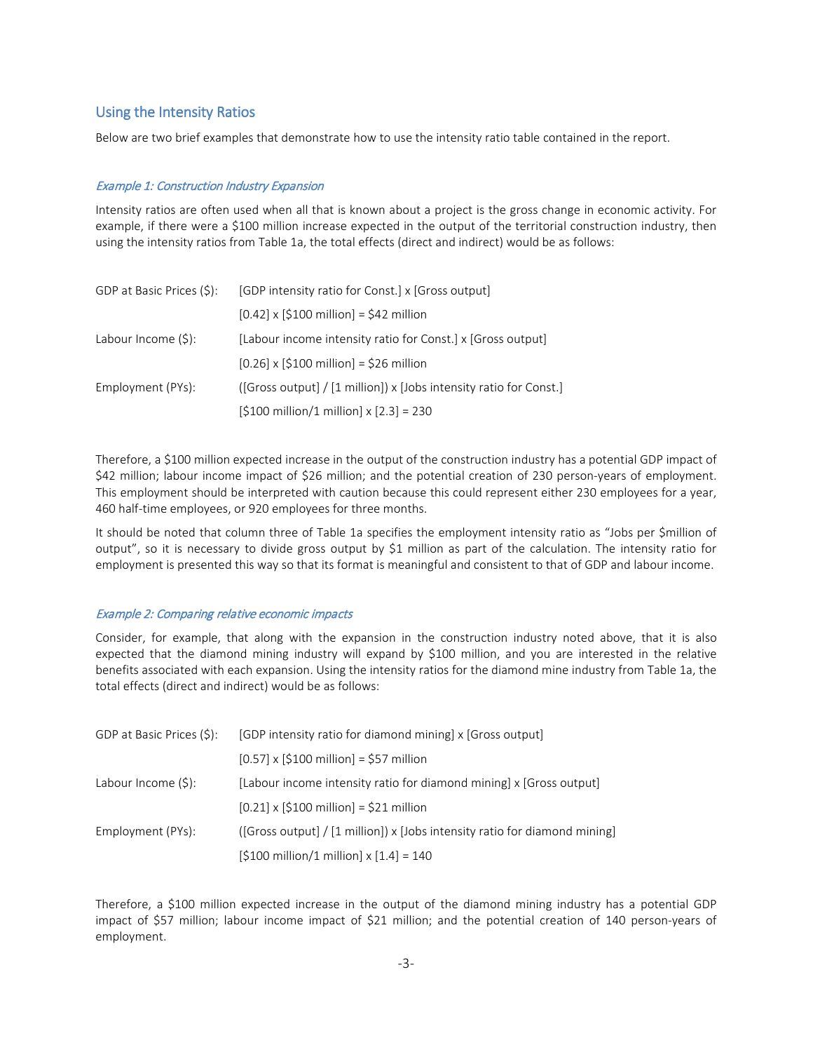#### Using the Intensity Ratios

Below are two brief examples that demonstrate how to use the intensity ratio table contained in the report.

#### Example 1: Construction Industry Expansion

Intensity ratios are often used when all that is known about a project is the gross change in economic activity. For example, if there were a \$100 million increase expected in the output of the territorial construction industry, then using the intensity ratios from Table 1a, the total effects (direct and indirect) would be as follows:

| GDP at Basic Prices (\$): | [GDP intensity ratio for Const.] x [Gross output]                          |  |  |
|---------------------------|----------------------------------------------------------------------------|--|--|
|                           | $[0.42] \times [\$100 \text{ million}] = \$42 \text{ million}$             |  |  |
| Labour Income $(\xi)$ :   | [Labour income intensity ratio for Const.] x [Gross output]                |  |  |
|                           | $[0.26]$ x $[$100$ million] = \$26 million                                 |  |  |
| Employment (PYs):         | ( $[Gross output] / [1 million]) \times [Jobs intensity ratio for Const.]$ |  |  |
|                           | $[$100$ million/1 million] x $[2.3] = 230$                                 |  |  |

Therefore, a \$100 million expected increase in the output of the construction industry has a potential GDP impact of \$42 million; labour income impact of \$26 million; and the potential creation of 230 person-years of employment. This employment should be interpreted with caution because this could represent either 230 employees for a year, 460 half-time employees, or 920 employees for three months.

It should be noted that column three of Table 1a specifies the employment intensity ratio as "Jobs per \$million of output", so it is necessary to divide gross output by \$1 million as part of the calculation. The intensity ratio for employment is presented this way so that its format is meaningful and consistent to that of GDP and labour income.

#### Example 2: Comparing relative economic impacts

Consider, for example, that along with the expansion in the construction industry noted above, that it is also expected that the diamond mining industry will expand by \$100 million, and you are interested in the relative benefits associated with each expansion. Using the intensity ratios for the diamond mine industry from Table 1a, the total effects (direct and indirect) would be as follows:

| GDP at Basic Prices (\$): | [GDP intensity ratio for diamond mining] x [Gross output]                  |  |  |
|---------------------------|----------------------------------------------------------------------------|--|--|
|                           | $[0.57] \times [5100 \text{ million}] = 557 \text{ million}$               |  |  |
| Labour Income $(\xi)$ :   | [Labour income intensity ratio for diamond mining] x [Gross output]        |  |  |
|                           | $[0.21] \times [5100 \text{ million}] = 521 \text{ million}$               |  |  |
| Employment (PYs):         | ([Gross output] / [1 million]) x [Jobs intensity ratio for diamond mining] |  |  |
|                           | $[$100$ million/1 million] x $[1.4] = 140$                                 |  |  |

Therefore, a \$100 million expected increase in the output of the diamond mining industry has a potential GDP impact of \$57 million; labour income impact of \$21 million; and the potential creation of 140 person-years of employment.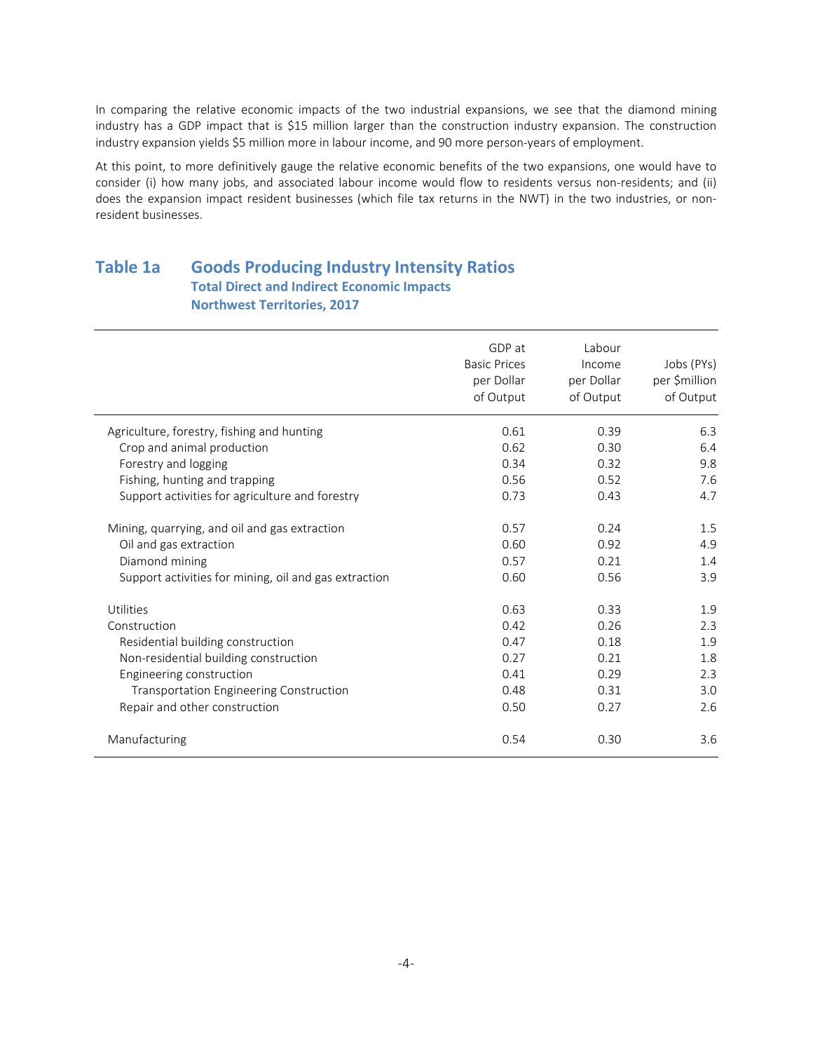In comparing the relative economic impacts of the two industrial expansions, we see that the diamond mining industry has a GDP impact that is \$15 million larger than the construction industry expansion. The construction industry expansion yields \$5 million more in labour income, and 90 more person-years of employment.

At this point, to more definitively gauge the relative economic benefits of the two expansions, one would have to consider (i) how many jobs, and associated labour income would flow to residents versus non-residents; and (ii) does the expansion impact resident businesses (which file tax returns in the NWT) in the two industries, or nonresident businesses.

### **Table 1a Goods Producing Industry Intensity Ratios Total Direct and Indirect Economic Impacts Northwest Territories, 2017**

|                                                       | GDP at<br><b>Basic Prices</b><br>per Dollar<br>of Output | Labour<br>Income<br>per Dollar<br>of Output | Jobs (PYs)<br>per \$million<br>of Output |
|-------------------------------------------------------|----------------------------------------------------------|---------------------------------------------|------------------------------------------|
| Agriculture, forestry, fishing and hunting            | 0.61                                                     | 0.39                                        | 6.3                                      |
| Crop and animal production                            | 0.62                                                     | 0.30                                        | 6.4                                      |
| Forestry and logging                                  | 0.34                                                     | 0.32                                        | 9.8                                      |
| Fishing, hunting and trapping                         | 0.56                                                     | 0.52                                        | 7.6                                      |
| Support activities for agriculture and forestry       | 0.73                                                     | 0.43                                        | 4.7                                      |
| Mining, quarrying, and oil and gas extraction         | 0.57                                                     | 0.24                                        | 1.5                                      |
| Oil and gas extraction                                | 0.60                                                     | 0.92                                        | 4.9                                      |
| Diamond mining                                        | 0.57                                                     | 0.21                                        | 1.4                                      |
| Support activities for mining, oil and gas extraction | 0.60                                                     | 0.56                                        | 3.9                                      |
| Utilities                                             | 0.63                                                     | 0.33                                        | 1.9                                      |
| Construction                                          | 0.42                                                     | 0.26                                        | 2.3                                      |
| Residential building construction                     | 0.47                                                     | 0.18                                        | 1.9                                      |
| Non-residential building construction                 | 0.27                                                     | 0.21                                        | 1.8                                      |
| Engineering construction                              | 0.41                                                     | 0.29                                        | 2.3                                      |
| Transportation Engineering Construction               | 0.48                                                     | 0.31                                        | 3.0                                      |
| Repair and other construction                         | 0.50                                                     | 0.27                                        | 2.6                                      |
| Manufacturing                                         | 0.54                                                     | 0.30                                        | 3.6                                      |